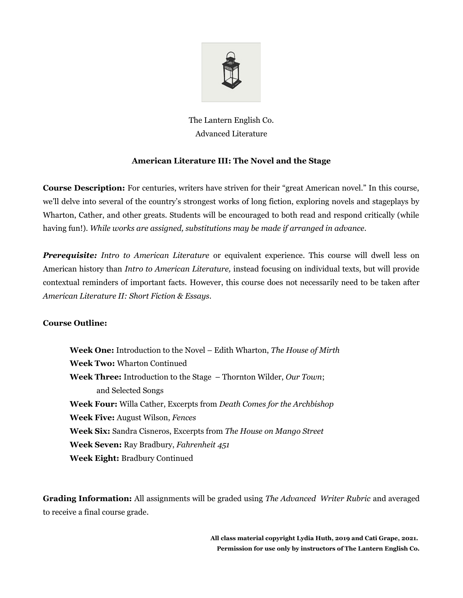

The Lantern English Co. Advanced Literature

### **American Literature III: The Novel and the Stage**

**Course Description:** For centuries, writers have striven for their "great American novel." In this course, we'll delve into several of the country's strongest works of long fiction, exploring novels and stageplays by Wharton, Cather, and other greats. Students will be encouraged to both read and respond critically (while having fun!). *While works are assigned, substitutions may be made if arranged in advance.*

*Prerequisite: Intro to American Literature* or equivalent experience. This course will dwell less on American history than *Intro to American Literature,* instead focusing on individual texts, but will provide contextual reminders of important facts. However, this course does not necessarily need to be taken after *American Literature II: Short Fiction & Essays.*

#### **Course Outline:**

**Week One:** Introduction to the Novel – Edith Wharton, *The House of Mirth* **Week Two:** Wharton Continued **Week Three:** Introduction to the Stage – Thornton Wilder, *Our Town*; and Selected Songs **Week Four:** Willa Cather, Excerpts from *Death Comes for the Archbishop* **Week Five:** August Wilson, *Fences* **Week Six:** Sandra Cisneros, Excerpts from *The House on Mango Street* **Week Seven:** Ray Bradbury, *Fahrenheit 451* **Week Eight:** Bradbury Continued

**Grading Information:** All assignments will be graded using *The Advanced Writer Rubric* and averaged to receive a final course grade.

> **All class material copyright Lydia Huth, 2019 and Cati Grape, 2021. Permission for use only by instructors of The Lantern English Co.**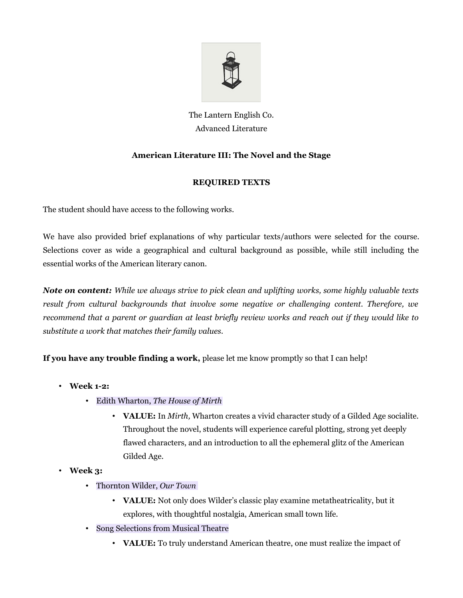

# The Lantern English Co. Advanced Literature

## **American Literature III: The Novel and the Stage**

## **REQUIRED TEXTS**

The student should have access to the following works.

We have also provided brief explanations of why particular texts/authors were selected for the course. Selections cover as wide a geographical and cultural background as possible, while still including the essential works of the American literary canon.

*Note on content: While we always strive to pick clean and uplifting works, some highly valuable texts result from cultural backgrounds that involve some negative or challenging content. Therefore, we recommend that a parent or guardian at least briefly review works and reach out if they would like to substitute a work that matches their family values.* 

**If you have any trouble finding a work,** please let me know promptly so that I can help!

- **Week 1-2:** 
	- Edith Wharton, *The House of Mirth*
		- **VALUE:** In *Mirth,* Wharton creates a vivid character study of a Gilded Age socialite. Throughout the novel, students will experience careful plotting, strong yet deeply flawed characters, and an introduction to all the ephemeral glitz of the American Gilded Age.
- **Week 3:** 
	- Thornton Wilder, *Our Town*
		- **VALUE:** Not only does Wilder's classic play examine metatheatricality, but it explores, with thoughtful nostalgia, American small town life.
	- Song Selections from Musical Theatre
		- **VALUE:** To truly understand American theatre, one must realize the impact of